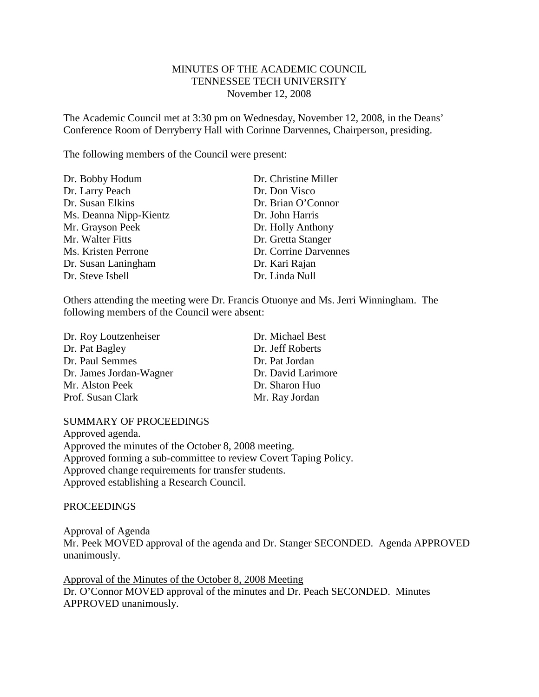# MINUTES OF THE ACADEMIC COUNCIL TENNESSEE TECH UNIVERSITY November 12, 2008

The Academic Council met at 3:30 pm on Wednesday, November 12, 2008, in the Deans' Conference Room of Derryberry Hall with Corinne Darvennes, Chairperson, presiding.

The following members of the Council were present:

| Dr. Christine Miller  |
|-----------------------|
| Dr. Don Visco         |
| Dr. Brian O'Connor    |
| Dr. John Harris       |
| Dr. Holly Anthony     |
| Dr. Gretta Stanger    |
| Dr. Corrine Darvennes |
| Dr. Kari Rajan        |
| Dr. Linda Null        |
|                       |

Others attending the meeting were Dr. Francis Otuonye and Ms. Jerri Winningham. The following members of the Council were absent:

| Dr. Michael Best   |
|--------------------|
| Dr. Jeff Roberts   |
| Dr. Pat Jordan     |
| Dr. David Larimore |
| Dr. Sharon Huo     |
| Mr. Ray Jordan     |
|                    |

#### SUMMARY OF PROCEEDINGS

Approved agenda. Approved the minutes of the October 8, 2008 meeting. Approved forming a sub-committee to review Covert Taping Policy. Approved change requirements for transfer students. Approved establishing a Research Council.

PROCEEDINGS

Mr. Peek MOVED approval of the agenda and Dr. Stanger SECONDED. Agenda APPROVED unanimously. Approval of Agenda

Dr. O'Connor MOVED approval of the minutes and Dr. Peach SECONDED. Minutes APPROVED unanimously. Approval of the Minutes of the October 8, 2008 Meeting